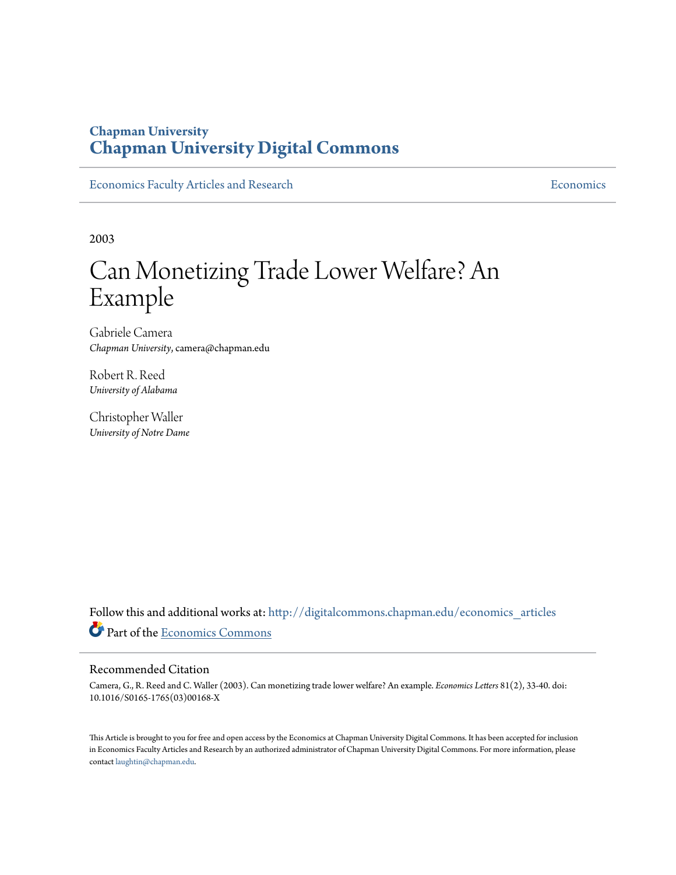## **Chapman University [Chapman University Digital Commons](http://digitalcommons.chapman.edu?utm_source=digitalcommons.chapman.edu%2Feconomics_articles%2F73&utm_medium=PDF&utm_campaign=PDFCoverPages)**

[Economics Faculty Articles and Research](http://digitalcommons.chapman.edu/economics_articles?utm_source=digitalcommons.chapman.edu%2Feconomics_articles%2F73&utm_medium=PDF&utm_campaign=PDFCoverPages) **[Economics](http://digitalcommons.chapman.edu/economics?utm_source=digitalcommons.chapman.edu%2Feconomics_articles%2F73&utm_medium=PDF&utm_campaign=PDFCoverPages)** Economics

2003

# Can Monetizing Trade Lower Welfare? An Example

Gabriele Camera *Chapman University*, camera@chapman.edu

Robert R. Reed *University of Alabama*

Christopher Waller *University of Notre Dame*

Follow this and additional works at: [http://digitalcommons.chapman.edu/economics\\_articles](http://digitalcommons.chapman.edu/economics_articles?utm_source=digitalcommons.chapman.edu%2Feconomics_articles%2F73&utm_medium=PDF&utm_campaign=PDFCoverPages) Part of the [Economics Commons](http://network.bepress.com/hgg/discipline/340?utm_source=digitalcommons.chapman.edu%2Feconomics_articles%2F73&utm_medium=PDF&utm_campaign=PDFCoverPages)

## Recommended Citation

Camera, G., R. Reed and C. Waller (2003). Can monetizing trade lower welfare? An example. *Economics Letters* 81(2), 33-40. doi: 10.1016/S0165-1765(03)00168-X

This Article is brought to you for free and open access by the Economics at Chapman University Digital Commons. It has been accepted for inclusion in Economics Faculty Articles and Research by an authorized administrator of Chapman University Digital Commons. For more information, please contact [laughtin@chapman.edu](mailto:laughtin@chapman.edu).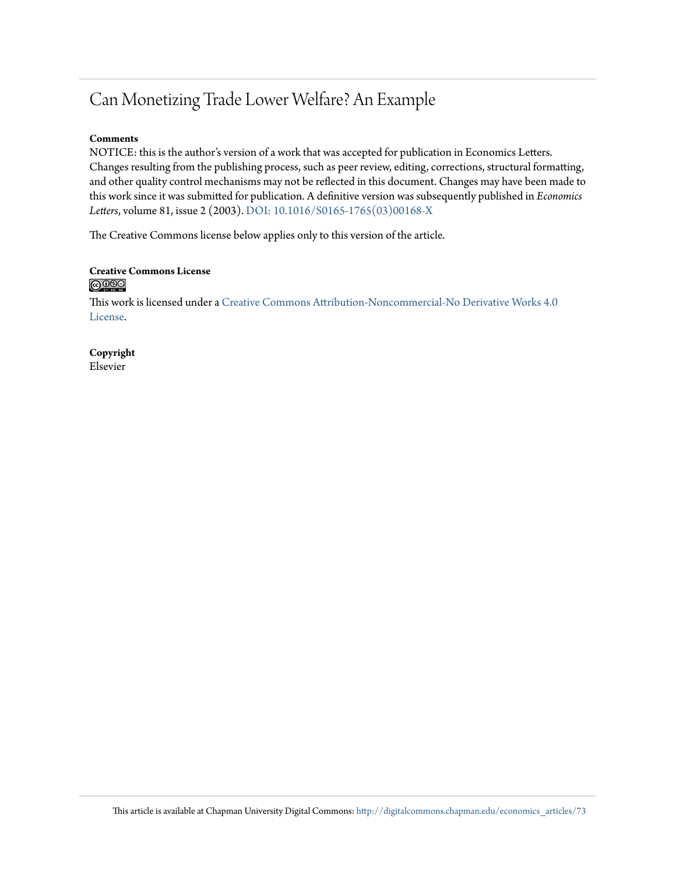## Can Monetizing Trade Lower Welfare? An Example

## **Comments**

NOTICE: this is the author's version of a work that was accepted for publication in Economics Letters. Changes resulting from the publishing process, such as peer review, editing, corrections, structural formatting, and other quality control mechanisms may not be reflected in this document. Changes may have been made to this work since it was submitted for publication. A definitive version was subsequently published in *Economics Letters*, volume 81, issue 2 (2003). [DOI: 10.1016/S0165-1765\(03\)00168-X](http://dx.doi.org/10.1016/S0165-1765(03)00168-X)

The Creative Commons license below applies only to this version of the article.

## **Creative Commons License**  $\bigcirc$   $\circ$

This work is licensed under a [Creative Commons Attribution-Noncommercial-No Derivative Works 4.0](http://creativecommons.org/licenses/by-nc-nd/4.0/) [License.](http://creativecommons.org/licenses/by-nc-nd/4.0/)

**Copyright** Elsevier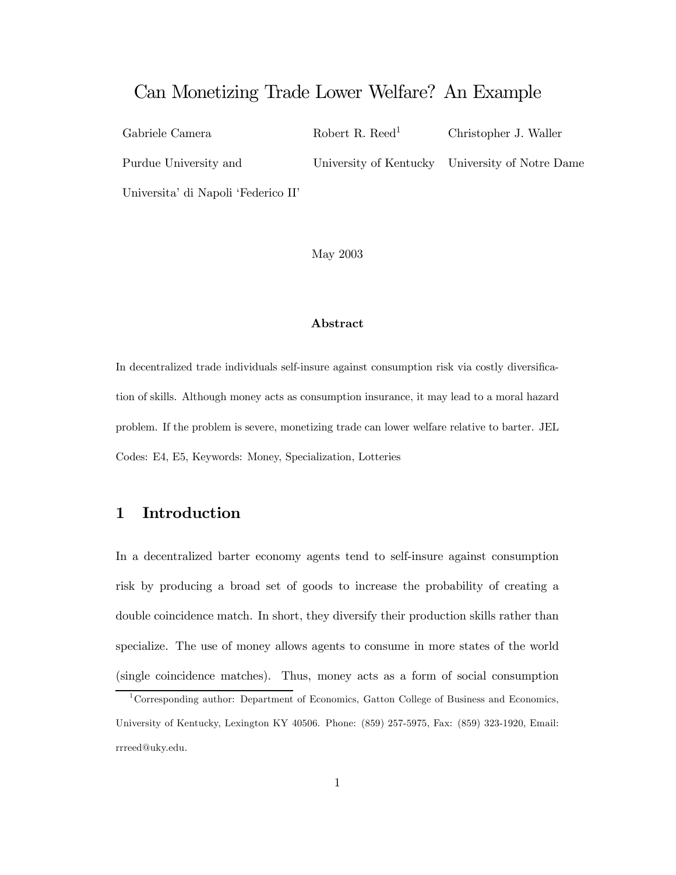## Can Monetizing Trade Lower Welfare? An Example

Gabriele Camera Robert R. Reed<sup>1</sup> Christopher J. Waller Purdue University and University of Kentucky University of Notre Dame Universita' di Napoli 'Federico II'

May 2003

#### Abstract

In decentralized trade individuals self-insure against consumption risk via costly diversification of skills. Although money acts as consumption insurance, it may lead to a moral hazard problem. If the problem is severe, monetizing trade can lower welfare relative to barter. JEL Codes: E4, E5, Keywords: Money, Specialization, Lotteries

## 1 Introduction

In a decentralized barter economy agents tend to self-insure against consumption risk by producing a broad set of goods to increase the probability of creating a double coincidence match. In short, they diversify their production skills rather than specialize. The use of money allows agents to consume in more states of the world (single coincidence matches). Thus, money acts as a form of social consumption

<sup>1</sup>Corresponding author: Department of Economics, Gatton College of Business and Economics, University of Kentucky, Lexington KY 40506. Phone: (859) 257-5975, Fax: (859) 323-1920, Email: rrreed@uky.edu.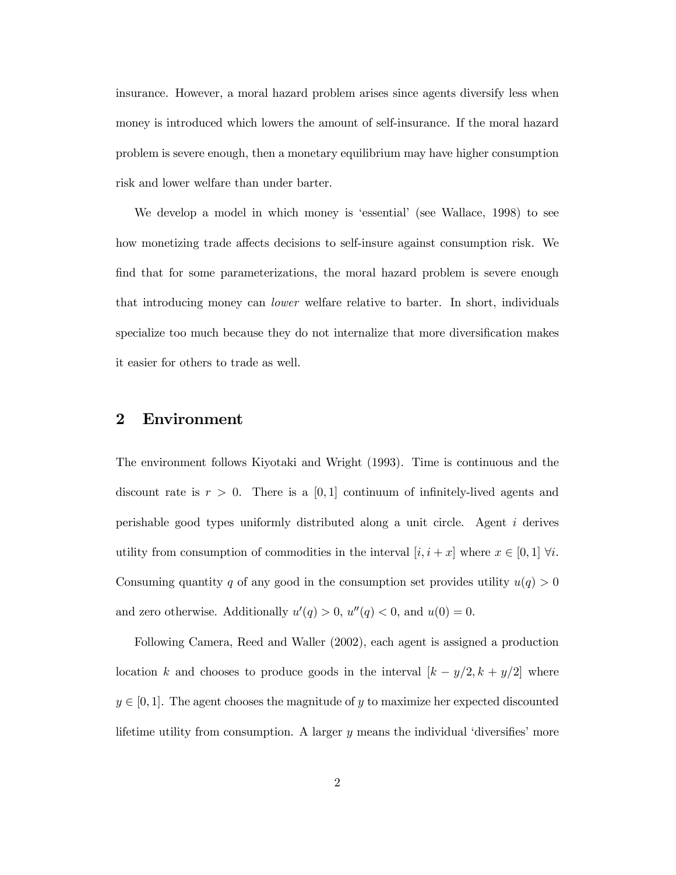insurance. However, a moral hazard problem arises since agents diversify less when money is introduced which lowers the amount of self-insurance. If the moral hazard problem is severe enough, then a monetary equilibrium may have higher consumption risk and lower welfare than under barter.

We develop a model in which money is 'essential' (see Wallace, 1998) to see how monetizing trade affects decisions to self-insure against consumption risk. We find that for some parameterizations, the moral hazard problem is severe enough that introducing money can lower welfare relative to barter. In short, individuals specialize too much because they do not internalize that more diversification makes it easier for others to trade as well.

## 2 Environment

The environment follows Kiyotaki and Wright (1993). Time is continuous and the discount rate is  $r > 0$ . There is a [0,1] continuum of infinitely-lived agents and perishable good types uniformly distributed along a unit circle. Agent i derives utility from consumption of commodities in the interval  $[i, i + x]$  where  $x \in [0, 1]$   $\forall i$ . Consuming quantity q of any good in the consumption set provides utility  $u(q) > 0$ and zero otherwise. Additionally  $u'(q) > 0$ ,  $u''(q) < 0$ , and  $u(0) = 0$ .

Following Camera, Reed and Waller (2002), each agent is assigned a production location k and chooses to produce goods in the interval  $[k - y/2, k + y/2]$  where  $y \in [0,1]$ . The agent chooses the magnitude of y to maximize her expected discounted lifetime utility from consumption. A larger  $y$  means the individual 'diversifies' more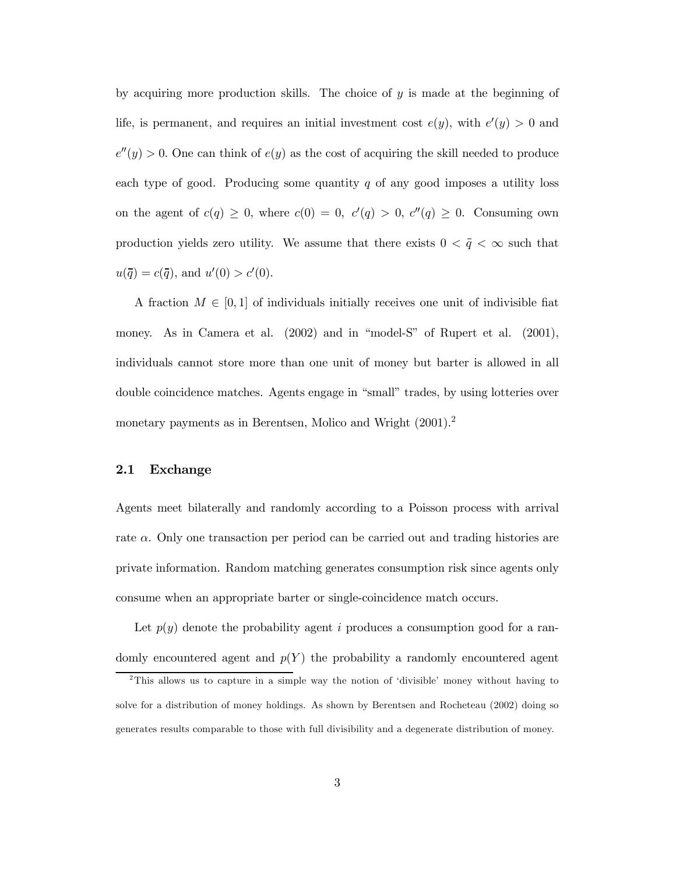by acquiring more production skills. The choice of  $y$  is made at the beginning of life, is permanent, and requires an initial investment cost  $e(y)$ , with  $e'(y) > 0$  and  $e''(y) > 0$ . One can think of  $e(y)$  as the cost of acquiring the skill needed to produce each type of good. Producing some quantity  $q$  of any good imposes a utility loss on the agent of  $c(q) \geq 0$ , where  $c(0) = 0$ ,  $c'(q) > 0$ ,  $c''(q) \geq 0$ . Consuming own production yields zero utility. We assume that there exists  $0 < \bar{q} < \infty$  such that  $u(\bar{q}) = c(\bar{q}), \text{ and } u'(0) > c'(0).$ 

A fraction  $M \in [0,1]$  of individuals initially receives one unit of indivisible fiat money. As in Camera et al.  $(2002)$  and in "model-S" of Rupert et al.  $(2001)$ , individuals cannot store more than one unit of money but barter is allowed in all double coincidence matches. Agents engage in "small" trades, by using lotteries over monetary payments as in Berentsen, Molico and Wright (2001).2

#### 2.1 Exchange

Agents meet bilaterally and randomly according to a Poisson process with arrival rate  $\alpha$ . Only one transaction per period can be carried out and trading histories are private information. Random matching generates consumption risk since agents only consume when an appropriate barter or single-coincidence match occurs.

Let  $p(y)$  denote the probability agent i produces a consumption good for a randomly encountered agent and  $p(Y)$  the probability a randomly encountered agent

 $2^2$ This allows us to capture in a simple way the notion of 'divisible' money without having to solve for a distribution of money holdings. As shown by Berentsen and Rocheteau (2002) doing so generates results comparable to those with full divisibility and a degenerate distribution of money.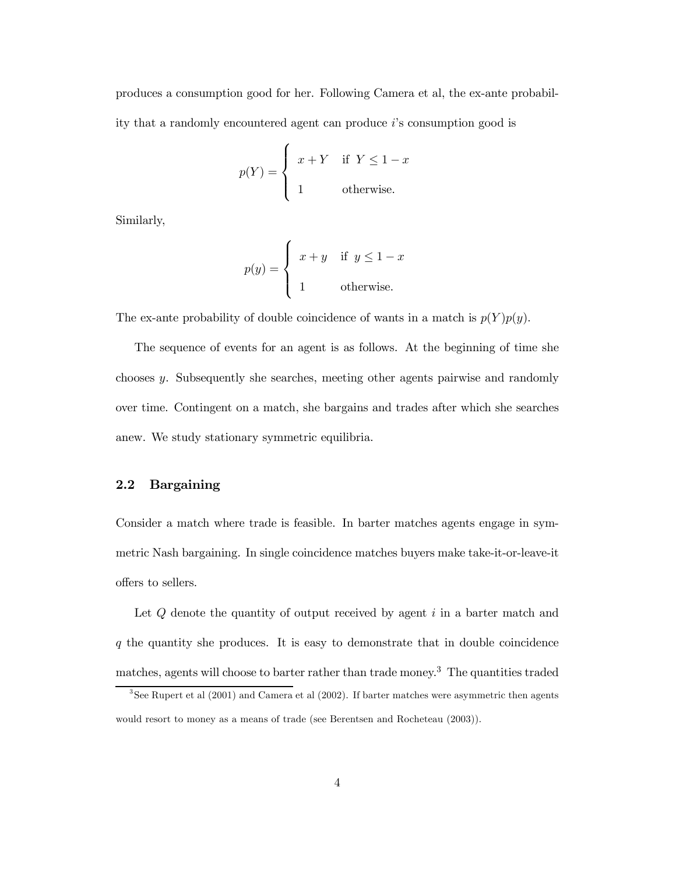produces a consumption good for her. Following Camera et al, the ex-ante probability that a randomly encountered agent can produce  $i$ 's consumption good is

$$
p(Y) = \begin{cases} x + Y & \text{if } Y \le 1 - x \\ 1 & \text{otherwise.} \end{cases}
$$

Similarly,

$$
p(y) = \begin{cases} x+y & \text{if } y \le 1-x \\ 1 & \text{otherwise.} \end{cases}
$$

The ex-ante probability of double coincidence of wants in a match is  $p(Y)p(y)$ .

The sequence of events for an agent is as follows. At the beginning of time she chooses y. Subsequently she searches, meeting other agents pairwise and randomly over time. Contingent on a match, she bargains and trades after which she searches anew. We study stationary symmetric equilibria.

#### 2.2 Bargaining

Consider a match where trade is feasible. In barter matches agents engage in symmetric Nash bargaining. In single coincidence matches buyers make take-it-or-leave-it offers to sellers.

Let  $Q$  denote the quantity of output received by agent  $i$  in a barter match and  $q$  the quantity she produces. It is easy to demonstrate that in double coincidence matches, agents will choose to barter rather than trade money.3 The quantities traded

 $3$ See Rupert et al (2001) and Camera et al (2002). If barter matches were asymmetric then agents would resort to money as a means of trade (see Berentsen and Rocheteau (2003)).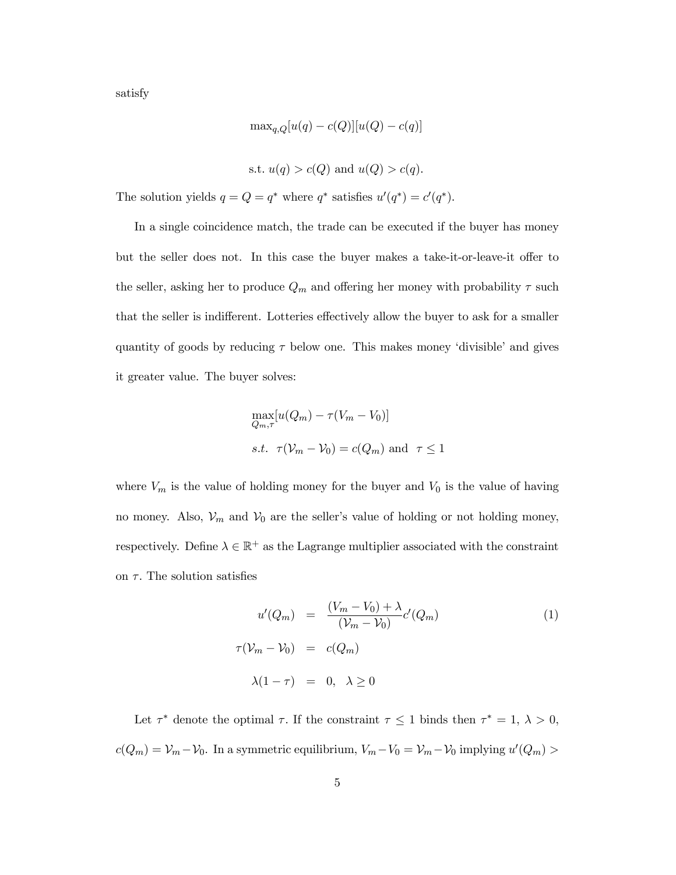satisfy

$$
\max_{q,Q}[u(q) - c(Q)][u(Q) - c(q)]
$$

s.t. 
$$
u(q) > c(Q)
$$
 and  $u(Q) > c(q)$ .

The solution yields  $q = Q = q^*$  where  $q^*$  satisfies  $u'(q^*) = c'(q^*)$ .

In a single coincidence match, the trade can be executed if the buyer has money but the seller does not. In this case the buyer makes a take-it-or-leave-it offer to the seller, asking her to produce  $Q_m$  and offering her money with probability  $\tau$  such that the seller is indifferent. Lotteries effectively allow the buyer to ask for a smaller quantity of goods by reducing  $\tau$  below one. This makes money 'divisible' and gives it greater value. The buyer solves:

$$
\max_{Q_m,\tau} [u(Q_m) - \tau(V_m - V_0)]
$$
  
s.t.  $\tau(V_m - V_0) = c(Q_m)$  and  $\tau \le 1$ 

where  $V_m$  is the value of holding money for the buyer and  $V_0$  is the value of having no money. Also,  $\mathcal{V}_m$  and  $\mathcal{V}_0$  are the seller's value of holding or not holding money, respectively. Define  $\lambda \in \mathbb{R}^+$  as the Lagrange multiplier associated with the constraint on  $\tau$ . The solution satisfies

$$
u'(Q_m) = \frac{(V_m - V_0) + \lambda}{(\mathcal{V}_m - \mathcal{V}_0)} c'(Q_m)
$$
  

$$
\tau(\mathcal{V}_m - \mathcal{V}_0) = c(Q_m)
$$
  

$$
\lambda(1 - \tau) = 0, \quad \lambda \ge 0
$$
 (1)

Let  $\tau^*$  denote the optimal  $\tau$ . If the constraint  $\tau \leq 1$  binds then  $\tau^* = 1, \lambda > 0$ ,  $c(Q_m) = V_m - V_0$ . In a symmetric equilibrium,  $V_m - V_0 = V_m - V_0$  implying  $u'(Q_m) >$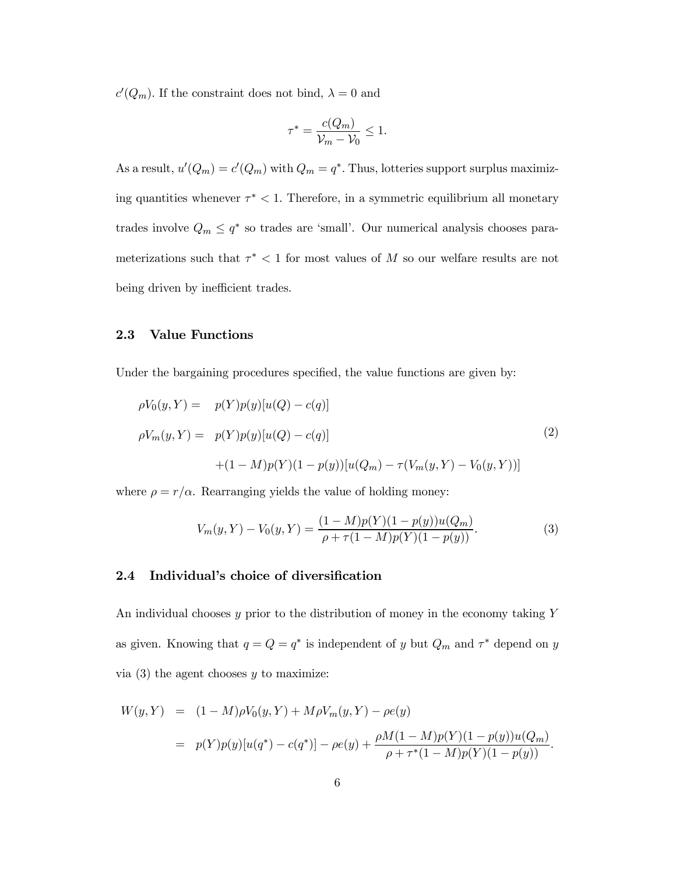$c'(Q_m)$ . If the constraint does not bind,  $\lambda = 0$  and

$$
\tau^* = \frac{c(Q_m)}{\mathcal{V}_m - \mathcal{V}_0} \le 1.
$$

As a result,  $u'(Q_m) = c'(Q_m)$  with  $Q_m = q^*$ . Thus, lotteries support surplus maximizing quantities whenever  $\tau^* < 1$ . Therefore, in a symmetric equilibrium all monetary trades involve  $Q_m \leq q^*$  so trades are 'small'. Our numerical analysis chooses parameterizations such that  $\tau^*$  < 1 for most values of M so our welfare results are not being driven by inefficient trades.

## 2.3 Value Functions

Under the bargaining procedures specified, the value functions are given by:

$$
\rho V_0(y, Y) = p(Y)p(y)[u(Q) - c(q)]
$$
  
\n
$$
\rho V_m(y, Y) = p(Y)p(y)[u(Q) - c(q)]
$$
\n
$$
+ (1 - M)p(Y)(1 - p(y))[u(Q_m) - \tau(V_m(y, Y) - V_0(y, Y))]
$$
\n(2)

where  $\rho = r/\alpha$ . Rearranging yields the value of holding money:

$$
V_m(y, Y) - V_0(y, Y) = \frac{(1 - M)p(Y)(1 - p(y))u(Q_m)}{\rho + \tau(1 - M)p(Y)(1 - p(y))}.
$$
\n(3)

#### 2.4 Individual's choice of diversification

An individual chooses  $y$  prior to the distribution of money in the economy taking  $Y$ as given. Knowing that  $q = Q = q^*$  is independent of y but  $Q_m$  and  $\tau^*$  depend on y via  $(3)$  the agent chooses y to maximize:

$$
W(y, Y) = (1 - M)\rho V_0(y, Y) + M\rho V_m(y, Y) - \rho e(y)
$$
  
=  $p(Y)p(y)[u(q^*) - c(q^*)] - \rho e(y) + \frac{\rho M(1 - M)p(Y)(1 - p(y))u(Q_m)}{\rho + \tau^*(1 - M)p(Y)(1 - p(y))}.$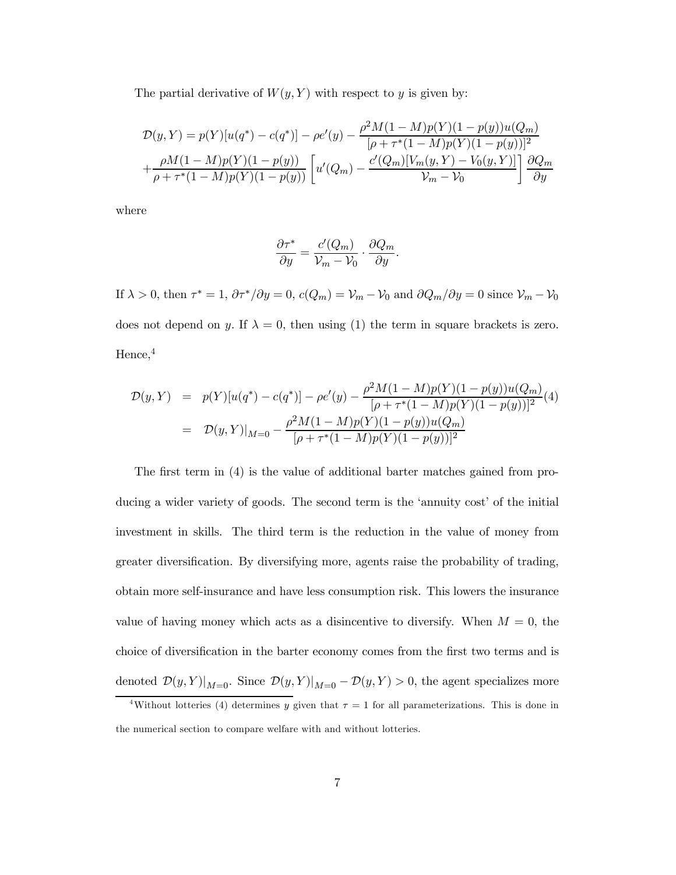The partial derivative of  $W(y, Y)$  with respect to y is given by:

$$
\mathcal{D}(y, Y) = p(Y)[u(q^*) - c(q^*)] - \rho e'(y) - \frac{\rho^2 M (1 - M) p(Y)(1 - p(y)) u(Q_m)}{[\rho + \tau^*(1 - M) p(Y)(1 - p(y))]^2} + \frac{\rho M (1 - M) p(Y)(1 - p(y))}{\rho + \tau^*(1 - M) p(Y)(1 - p(y))} \left[ u'(Q_m) - \frac{c'(Q_m)[V_m(y, Y) - V_0(y, Y)]}{\mathcal{V}_m - \mathcal{V}_0} \right] \frac{\partial Q_m}{\partial y}
$$

where

$$
\frac{\partial \tau^*}{\partial y} = \frac{c'(Q_m)}{\mathcal{V}_m - \mathcal{V}_0} \cdot \frac{\partial Q_m}{\partial y}.
$$

If  $\lambda > 0$ , then  $\tau^* = 1$ ,  $\partial \tau^* / \partial y = 0$ ,  $c(Q_m) = V_m - V_0$  and  $\partial Q_m / \partial y = 0$  since  $V_m - V_0$ does not depend on y. If  $\lambda = 0$ , then using (1) the term in square brackets is zero. Hence,<sup>4</sup>

$$
\mathcal{D}(y, Y) = p(Y)[u(q^*) - c(q^*)] - \rho e'(y) - \frac{\rho^2 M (1 - M) p(Y)(1 - p(y)) u(Q_m)}{[\rho + \tau^*(1 - M) p(Y)(1 - p(y))]^2} (4)
$$
  
=  $\mathcal{D}(y, Y)|_{M=0} - \frac{\rho^2 M (1 - M) p(Y)(1 - p(y)) u(Q_m)}{[\rho + \tau^*(1 - M) p(Y)(1 - p(y))]^2}$ 

The first term in (4) is the value of additional barter matches gained from producing a wider variety of goods. The second term is the 'annuity cost' of the initial investment in skills. The third term is the reduction in the value of money from greater diversification. By diversifying more, agents raise the probability of trading, obtain more self-insurance and have less consumption risk. This lowers the insurance value of having money which acts as a disincentive to diversify. When  $M = 0$ , the choice of diversification in the barter economy comes from the first two terms and is denoted  $\mathcal{D}(y, Y)|_{M=0}$ . Since  $\mathcal{D}(y, Y)|_{M=0} - \mathcal{D}(y, Y) > 0$ , the agent specializes more

<sup>&</sup>lt;sup>4</sup>Without lotteries (4) determines y given that  $\tau = 1$  for all parameterizations. This is done in the numerical section to compare welfare with and without lotteries.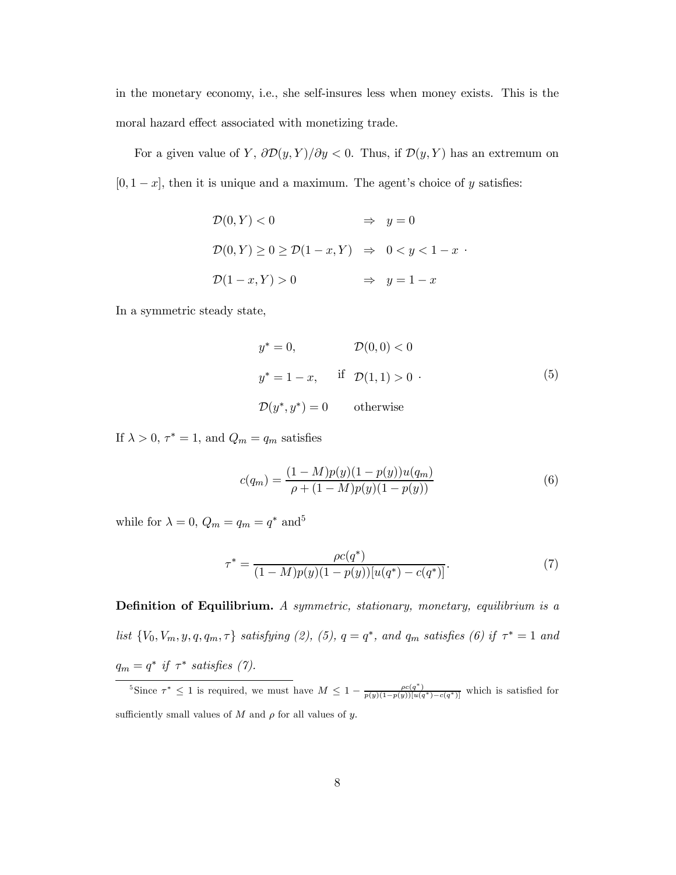in the monetary economy, i.e., she self-insures less when money exists. This is the moral hazard effect associated with monetizing trade.

For a given value of Y,  $\partial \mathcal{D}(y, Y)/\partial y < 0$ . Thus, if  $\mathcal{D}(y, Y)$  has an extremum on  $[0, 1-x]$ , then it is unique and a maximum. The agent's choice of y satisfies:

$$
\mathcal{D}(0, Y) < 0 \qquad \Rightarrow \quad y = 0
$$
\n
$$
\mathcal{D}(0, Y) \ge 0 \ge \mathcal{D}(1 - x, Y) \quad \Rightarrow \quad 0 < y < 1 - x
$$
\n
$$
\mathcal{D}(1 - x, Y) > 0 \qquad \Rightarrow \quad y = 1 - x
$$

In a symmetric steady state,

$$
y^* = 0, \qquad \mathcal{D}(0,0) < 0
$$
  

$$
y^* = 1 - x, \qquad \text{if } \mathcal{D}(1,1) > 0
$$
  

$$
\mathcal{D}(y^*, y^*) = 0 \qquad \text{otherwise}
$$
 (5)

.

If  $\lambda > 0$ ,  $\tau^* = 1$ , and  $Q_m = q_m$  satisfies

$$
c(q_m) = \frac{(1 - M)p(y)(1 - p(y))u(q_m)}{\rho + (1 - M)p(y)(1 - p(y))}
$$
\n(6)

while for  $\lambda = 0$ ,  $Q_m = q_m = q^*$  and<sup>5</sup>

$$
\tau^* = \frac{\rho c(q^*)}{(1 - M)p(y)(1 - p(y))[u(q^*) - c(q^*)]}.\tag{7}
$$

Definition of Equilibrium. A symmetric, stationary, monetary, equilibrium is a list  $\{V_0, V_m, y, q, q_m, \tau\}$  satisfying (2), (5),  $q = q^*$ , and  $q_m$  satisfies (6) if  $\tau^* = 1$  and  $q_m = q^*$  if  $\tau^*$  satisfies (7).

<sup>&</sup>lt;sup>5</sup>Since  $\tau^* \leq 1$  is required, we must have  $M \leq 1 - \frac{\rho c(q^*)}{p(y)(1-p(y))\left[u(q^*)-c(q^*)\right]}$  which is satisfied for sufficiently small values of  $M$  and  $\rho$  for all values of  $y$ .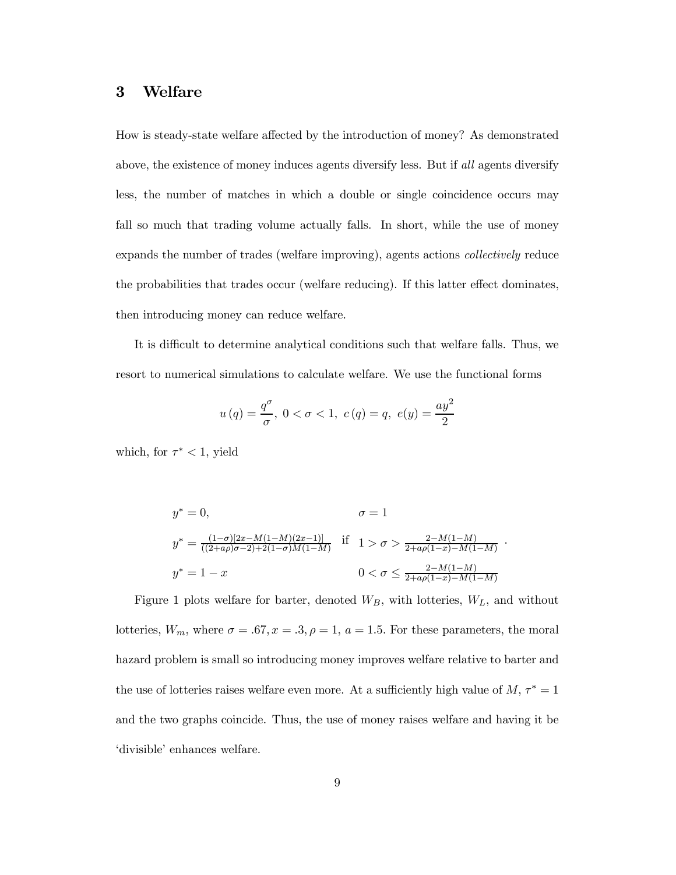## 3 Welfare

How is steady-state welfare affected by the introduction of money? As demonstrated above, the existence of money induces agents diversify less. But if all agents diversify less, the number of matches in which a double or single coincidence occurs may fall so much that trading volume actually falls. In short, while the use of money expands the number of trades (welfare improving), agents actions collectively reduce the probabilities that trades occur (welfare reducing). If this latter effect dominates, then introducing money can reduce welfare.

It is difficult to determine analytical conditions such that welfare falls. Thus, we resort to numerical simulations to calculate welfare. We use the functional forms

$$
u(q) = \frac{q^{\sigma}}{\sigma}, 0 < \sigma < 1, c(q) = q, e(y) = \frac{ay^2}{2}
$$

which, for  $\tau^*$  < 1, yield

$$
y^* = 0,
$$
  
\n
$$
\sigma = 1
$$
  
\n
$$
y^* = \frac{(1-\sigma)[2x - M(1-M)(2x-1)]}{((2+a\rho)\sigma - 2) + 2(1-\sigma)M(1-M)} \text{ if } 1 > \sigma > \frac{2-M(1-M)}{2+a\rho(1-x)-M(1-M)}.
$$
  
\n
$$
y^* = 1-x
$$
  
\n
$$
0 < \sigma \le \frac{2-M(1-M)}{2+a\rho(1-x)-M(1-M)}
$$

Figure 1 plots welfare for barter, denoted  $W_B$ , with lotteries,  $W_L$ , and without lotteries,  $W_m$ , where  $\sigma = .67, x = .3, \rho = 1, a = 1.5$ . For these parameters, the moral hazard problem is small so introducing money improves welfare relative to barter and the use of lotteries raises welfare even more. At a sufficiently high value of  $M, \tau^* = 1$ and the two graphs coincide. Thus, the use of money raises welfare and having it be ëdivisibleí enhances welfare.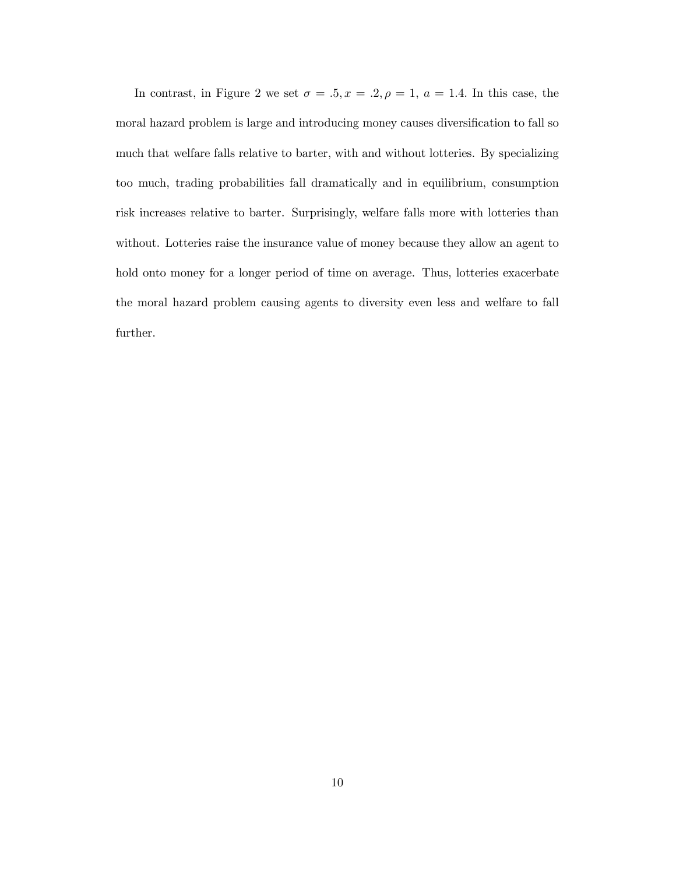In contrast, in Figure 2 we set  $\sigma = .5, x = .2, \rho = 1, a = 1.4$ . In this case, the moral hazard problem is large and introducing money causes diversification to fall so much that welfare falls relative to barter, with and without lotteries. By specializing too much, trading probabilities fall dramatically and in equilibrium, consumption risk increases relative to barter. Surprisingly, welfare falls more with lotteries than without. Lotteries raise the insurance value of money because they allow an agent to hold onto money for a longer period of time on average. Thus, lotteries exacerbate the moral hazard problem causing agents to diversity even less and welfare to fall further.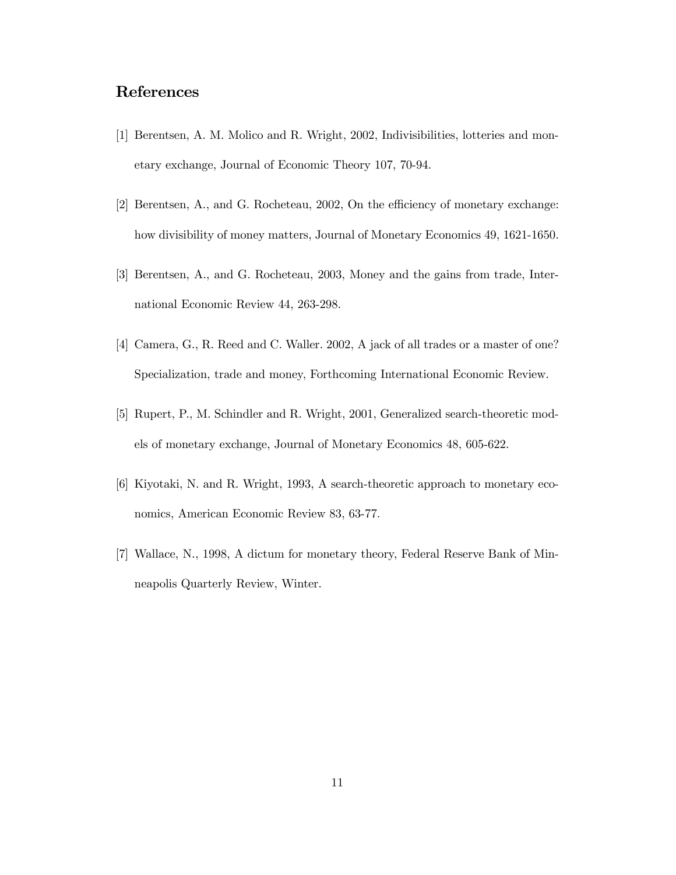## References

- [1] Berentsen, A. M. Molico and R. Wright, 2002, Indivisibilities, lotteries and monetary exchange, Journal of Economic Theory 107, 70-94.
- [2] Berentsen, A., and G. Rocheteau, 2002, On the efficiency of monetary exchange: how divisibility of money matters, Journal of Monetary Economics 49, 1621-1650.
- [3] Berentsen, A., and G. Rocheteau, 2003, Money and the gains from trade, International Economic Review 44, 263-298.
- [4] Camera, G., R. Reed and C. Waller. 2002, A jack of all trades or a master of one? Specialization, trade and money, Forthcoming International Economic Review.
- [5] Rupert, P., M. Schindler and R. Wright, 2001, Generalized search-theoretic models of monetary exchange, Journal of Monetary Economics 48, 605-622.
- [6] Kiyotaki, N. and R. Wright, 1993, A search-theoretic approach to monetary economics, American Economic Review 83, 63-77.
- [7] Wallace, N., 1998, A dictum for monetary theory, Federal Reserve Bank of Minneapolis Quarterly Review, Winter.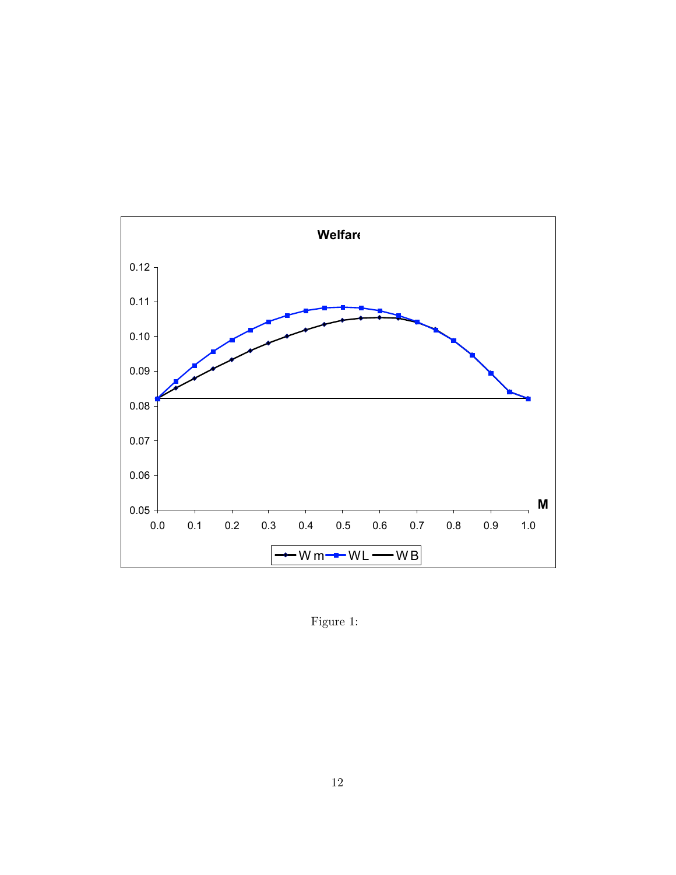

Figure 1: